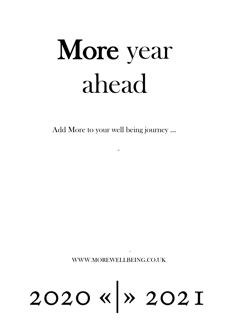Add More to your well being journey ...

WWW.MOREWELLBEING.CO.UK

# 2020 «|» 2021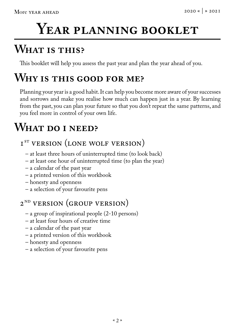# YEAR PLANNING BOOKLET

### **What is this?**

This booklet will help you assess the past year and plan the year ahead of you.

### **Why is this good for me?**

Planning your year is a good habit. It can help you become more aware of your successes and sorrows and make you realise how much can happen just in a year. By learning from the past, you can plan your future so that you don't repeat the same patterns, and you feel more in control of your own life.

### **What do i need?**

### I<sup>ST</sup> VERSION (LONE WOLF VERSION)

- at least three hours of uninterrupted time (to look back)
- at least one hour of uninterrupted time (to plan the year)
- a calendar of the past year
- a printed version of this workbook
- honesty and openness
- a selection of your favourite pens

### $2^{ND}$  VERSION (GROUP VERSION)

- a group of inspirational people (2-10 persons)
- at least four hours of creative time
- a calendar of the past year
- a printed version of this workbook
- honesty and openness
- a selection of your favourite pens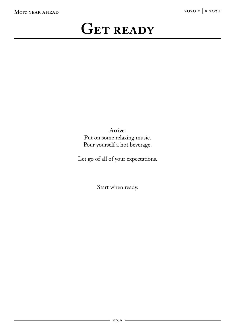### GET READY

Arrive. Put on some relaxing music. Pour yourself a hot beverage.

Let go of all of your expectations.

Start when ready.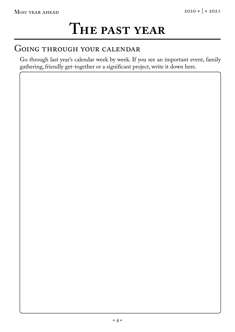# **The past year**

### Going through your calendar

Go through last year's calendar week by week. If you see an important event, family gathering, friendly get-together or a significant project, write it down here.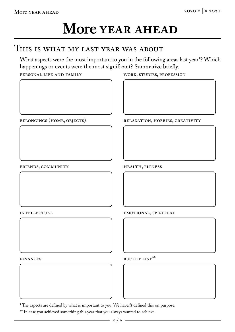#### THIS IS WHAT MY LAST YEAR WAS ABOUT

What aspects were the most important to you in the following areas last year<sup>\*?</sup> Which happenings or events were the most significant? Summarize briefly.

personal life and family



belongings (home, objects)

work, studies, profession

relaxation, hobbies, creativity

friends, community

health, fitness

**INTELLECTUAL** 

emotional, spiritual

finances

bucket list\*\*



\*\* In case you achieved something this year that you always wanted to achieve.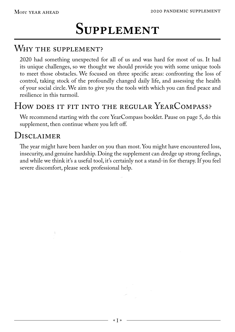# **Supplement**

### WHY THE SUPPLEMENT?

2020 had something unexpected for all of us and was hard for most of us. It had its unique challenges, so we thought we should provide you with some unique tools to meet those obstacles. We focused on three specific areas: confronting the loss of control, taking stock of the profoundly changed daily life, and assessing the health of your social circle. We aim to give you the tools with which you can find peace and resilience in this turmoil.

### How does it fit into the regular YearCompass?

We recommend starting with the core YearCompass booklet. Pause on page 5, do this supplement, then continue where you left off.

#### Disclaimer

The year might have been harder on you than most. You might have encountered loss, insecurity, and genuine hardship. Doing the supplement can dredge up strong feelings, and while we think it's a useful tool, it's certainly not a stand-in for therapy. If you feel severe discomfort, please seek professional help.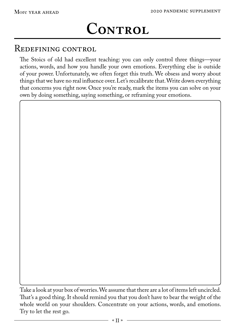# $$

### Redefining control

The Stoics of old had excellent teaching: you can only control three things—your actions, words, and how you handle your own emotions. Everything else is outside of your power. Unfortunately, we often forget this truth. We obsess and worry about things that we have no real influence over. Let's recalibrate that. Write down everything that concerns you right now. Once you're ready, mark the items you can solve on your own by doing something, saying something, or reframing your emotions.

Take a look at your box of worries. We assume that there are a lot of items left uncircled. That's a good thing. It should remind you that you don't have to bear the weight of the whole world on your shoulders. Concentrate on your actions, words, and emotions. Try to let the rest go.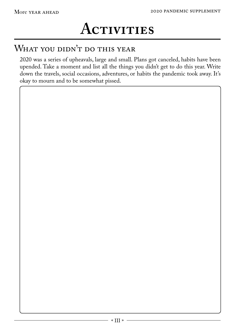# ACTIVITIES

### WHAT YOU DIDN'T DO THIS YEAR

2020 was a series of upheavals, large and small. Plans got canceled, habits have been upended. Take a moment and list all the things you didn't get to do this year. Write down the travels, social occasions, adventures, or habits the pandemic took away. It's okay to mourn and to be somewhat pissed.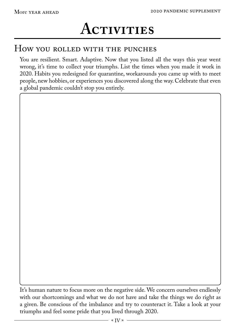# **Activities**

### How you rolled with the punches

You are resilient. Smart. Adaptive. Now that you listed all the ways this year went wrong, it's time to collect your triumphs. List the times when you made it work in 2020. Habits you redesigned for quarantine, workarounds you came up with to meet people, new hobbies, or experiences you discovered along the way. Celebrate that even a global pandemic couldn't stop you entirely.

It's human nature to focus more on the negative side. We concern ourselves endlessly with our shortcomings and what we do not have and take the things we do right as a given. Be conscious of the imbalance and try to counteract it. Take a look at your triumphs and feel some pride that you lived through 2020.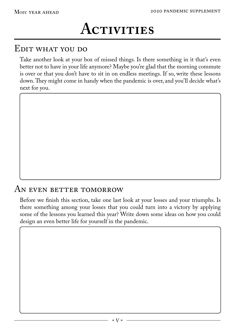# **Activities**

### Edit what you do

Take another look at your box of missed things. Is there something in it that's even better not to have in your life anymore? Maybe you're glad that the morning commute is over or that you don't have to sit in on endless meetings. If so, write these lessons down. They might come in handy when the pandemic is over, and you'll decide what's next for you.

#### AN EVEN BETTER TOMORROW

Before we finish this section, take one last look at your losses and your triumphs. Is there something among your losses that you could turn into a victory by applying some of the lessons you learned this year? Write down some ideas on how you could design an even better life for yourself in the pandemic.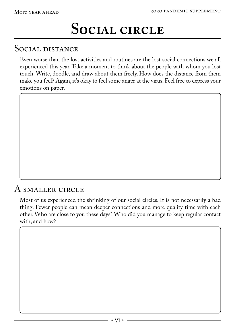# **Social circle**

### Social distance

Even worse than the lost activities and routines are the lost social connections we all experienced this year. Take a moment to think about the people with whom you lost touch. Write, doodle, and draw about them freely. How does the distance from them make you feel? Again, it's okay to feel some anger at the virus. Feel free to express your emotions on paper.

### A smaller circle

Most of us experienced the shrinking of our social circles. It is not necessarily a bad thing. Fewer people can mean deeper connections and more quality time with each other. Who are close to you these days? Who did you manage to keep regular contact with, and how?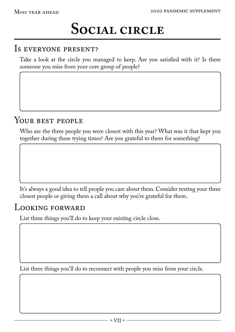# **Social circle**

### Is everyone present?

Take a look at the circle you managed to keep. Are you satisfied with it? Is there someone you miss from your core group of people?

### YOUR BEST PEOPLE

Who are the three people you were closest with this year? What was it that kept you together during these trying times? Are you grateful to them for something?

It's always a good idea to tell people you care about them. Consider texting your three closest people or giving them a call about why you're grateful for them.

#### Looking forward

List three things you'll do to keep your existing circle close.

List three things you'll do to reconnect with people you miss from your circle.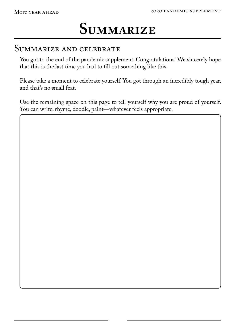## **Summarize**

#### Summarize and celebrate

You got to the end of the pandemic supplement. Congratulations! We sincerely hope that this is the last time you had to fill out something like this.

Please take a moment to celebrate yourself. You got through an incredibly tough year, and that's no small feat.

Use the remaining space on this page to tell yourself why you are proud of yourself. You can write, rhyme, doodle, paint—whatever feels appropriate.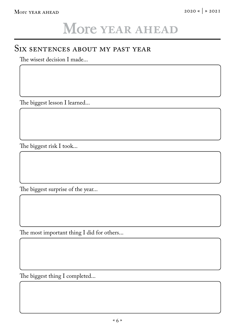### SIX SENTENCES ABOUT MY PAST YEAR

The wisest decision I made...

The biggest lesson I learned...

The biggest risk I took...

The biggest surprise of the year...

The most important thing I did for others...

The biggest thing I completed...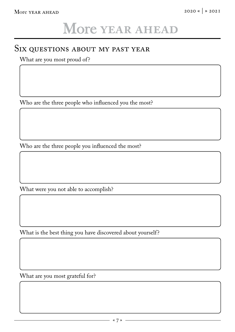#### SIX QUESTIONS ABOUT MY PAST YEAR

What are you most proud of?

Who are the three people who influenced you the most?

Who are the three people you influenced the most?

What were you not able to accomplish?

What is the best thing you have discovered about yourself?

What are you most grateful for?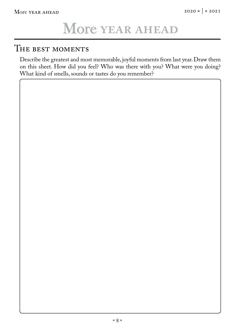### THE BEST MOMENTS

Describe the greatest and most memorable, joyful moments from last year. Draw them on this sheet. How did you feel? Who was there with you? What were you doing? What kind of smells, sounds or tastes do you remember?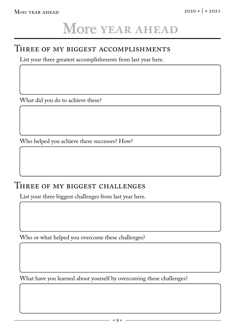#### THREE OF MY BIGGEST ACCOMPLISHMENTS

List your three greatest accomplishments from last year here.

What did you do to achieve these?

Who helped you achieve these successes? How?

#### THREE OF MY BIGGEST CHALLENGES

List your three biggest challenges from last year here.

Who or what helped you overcome these challenges?

What have you learned about yourself by overcoming these challenges?

« 9 »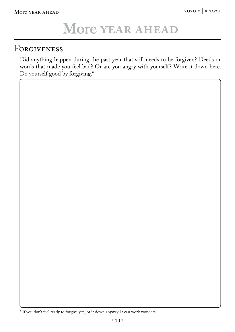### Forgiveness

Did anything happen during the past year that still needs to be forgiven? Deeds or words that made you feel bad? Or are you angry with yourself? Write it down here. Do yourself good by forgiving.\*

<sup>\*</sup> If you don't feel ready to forgive yet, jot it down anyway. It can work wonders.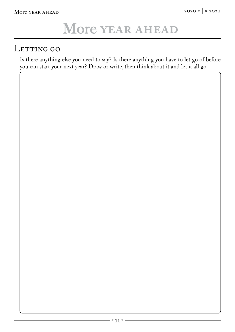### LETTING GO

Is there anything else you need to say? Is there anything you have to let go of before you can start your next year? Draw or write, then think about it and let it all go.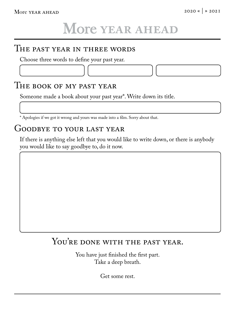#### THE PAST YEAR IN THREE WORDS

Choose three words to define your past year.

### The book of my past year

Someone made a book about your past year\*. Write down its title.

\* Apologies if we got it wrong and yours was made into a film. Sorry about that.

#### Goodbye to your last year

If there is anything else left that you would like to write down, or there is anybody you would like to say goodbye to, do it now.

### YOU'RE DONE WITH THE PAST YEAR.

You have just finished the first part. Take a deep breath.

Get some rest.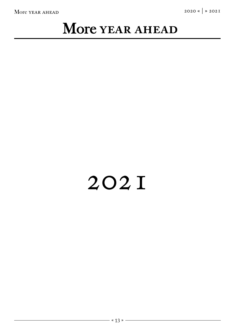# 2021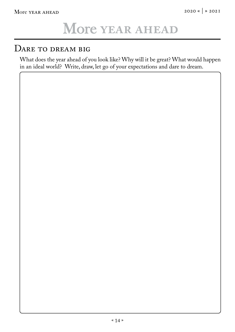### DARE TO DREAM BIG

What does the year ahead of you look like? Why will it be great? What would happen in an ideal world? Write, draw, let go of your expectations and dare to dream.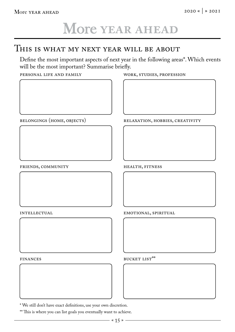#### This is what my next year will be about

Define the most important aspects of next year in the following areas\*. Which events will be the most important? Summarise briefly.

personal life and family

belongings (home, objects)

relaxation, hobbies, creativity

friends, community

**INTELLECTUAL** 

\* We still don't have exact definitions, use your own discretion.

\*\* This is where you can list goals you eventually want to achieve.

emotional, spiritual

bucket list\*\*

health, fitness

work, studies, profession

finances

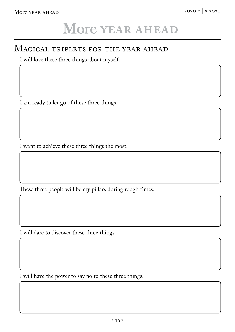#### Magical triplets for the year ahead

I will love these three things about myself.

I am ready to let go of these three things.

I want to achieve these three things the most.

These three people will be my pillars during rough times.

I will dare to discover these three things.

I will have the power to say no to these three things.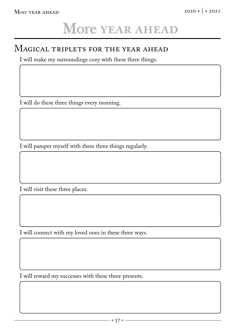#### Magical triplets for the year ahead

I will make my surroundings cozy with these three things.

I will do these three things every morning.

I will pamper myself with these three things regularly.

I will visit these three places.

I will connect with my loved ones in these three ways.

I will reward my successes with these three presents.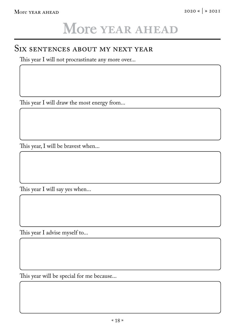#### SIX SENTENCES ABOUT MY NEXT YEAR

This year I will not procrastinate any more over...

This year I will draw the most energy from...

This year, I will be bravest when...

This year I will say yes when...

This year I advise myself to...

This year will be special for me because...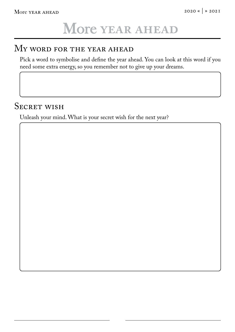### My word for the year ahead

Pick a word to symbolise and define the year ahead. You can look at this word if you need some extra energy, so you remember not to give up your dreams.

#### SECRET WISH

Unleash your mind. What is your secret wish for the next year?